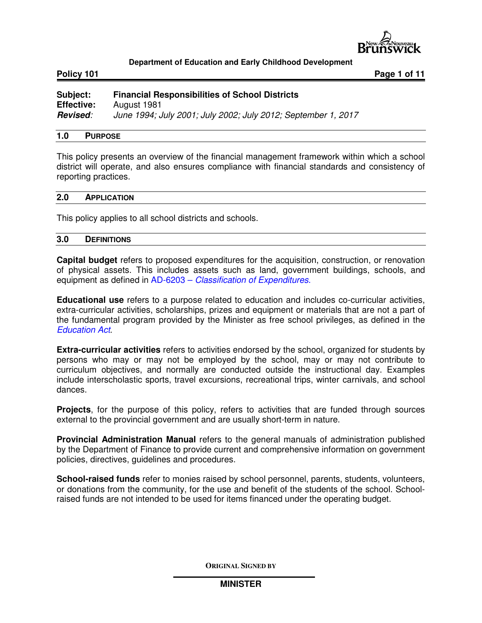

Policy 101 **Policy 101 Page 1 of 11** 

| Subject:          | <b>Financial Responsibilities of School Districts</b>         |
|-------------------|---------------------------------------------------------------|
| <b>Effective:</b> | August 1981                                                   |
| Revised:          | June 1994; July 2001; July 2002; July 2012; September 1, 2017 |

#### **1.0 PURPOSE**

This policy presents an overview of the financial management framework within which a school district will operate, and also ensures compliance with financial standards and consistency of reporting practices.

#### **2.0 APPLICATION**

This policy applies to all school districts and schools.

#### **3.0 DEFINITIONS**

**Capital budget** refers to proposed expenditures for the acquisition, construction, or renovation of physical assets. This includes assets such as land, government buildings, schools, and equipment as defined in AD-6203 – *Classification of Expenditures*.

**Educational use** refers to a purpose related to education and includes co-curricular activities, extra-curricular activities, scholarships, prizes and equipment or materials that are not a part of the fundamental program provided by the Minister as free school privileges, as defined in the *Education Act*.

**Extra-curricular activities** refers to activities endorsed by the school, organized for students by persons who may or may not be employed by the school, may or may not contribute to curriculum objectives, and normally are conducted outside the instructional day. Examples include interscholastic sports, travel excursions, recreational trips, winter carnivals, and school dances.

**Projects**, for the purpose of this policy, refers to activities that are funded through sources external to the provincial government and are usually short-term in nature.

**Provincial Administration Manual** refers to the general manuals of administration published by the Department of Finance to provide current and comprehensive information on government policies, directives, guidelines and procedures.

**School-raised funds** refer to monies raised by school personnel, parents, students, volunteers, or donations from the community, for the use and benefit of the students of the school. Schoolraised funds are not intended to be used for items financed under the operating budget.

**ORIGINAL SIGNED BY**

**MINISTER**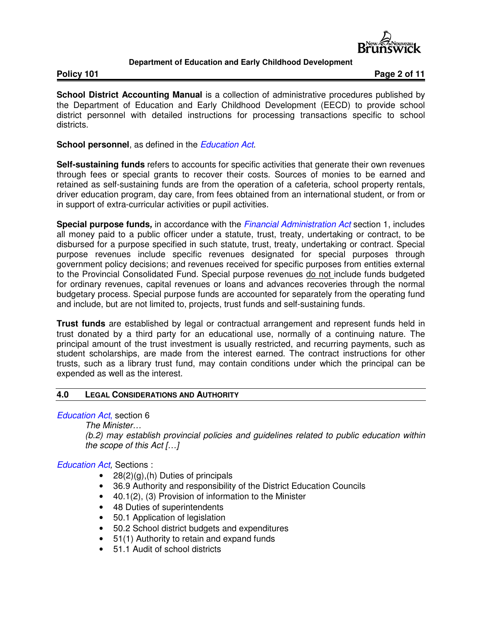

**Policy 101** Policy 101

**School District Accounting Manual** is a collection of administrative procedures published by the Department of Education and Early Childhood Development (EECD) to provide school district personnel with detailed instructions for processing transactions specific to school districts.

**School personnel**, as defined in the *Education Act*.

**Self-sustaining funds** refers to accounts for specific activities that generate their own revenues through fees or special grants to recover their costs. Sources of monies to be earned and retained as self-sustaining funds are from the operation of a cafeteria, school property rentals, driver education program, day care, from fees obtained from an international student, or from or in support of extra-curricular activities or pupil activities.

**Special purpose funds,** in accordance with the *Financial Administration Act* section 1, includes all money paid to a public officer under a statute, trust, treaty, undertaking or contract, to be disbursed for a purpose specified in such statute, trust, treaty, undertaking or contract. Special purpose revenues include specific revenues designated for special purposes through government policy decisions; and revenues received for specific purposes from entities external to the Provincial Consolidated Fund. Special purpose revenues do not include funds budgeted for ordinary revenues, capital revenues or loans and advances recoveries through the normal budgetary process. Special purpose funds are accounted for separately from the operating fund and include, but are not limited to, projects, trust funds and self-sustaining funds.

**Trust funds** are established by legal or contractual arrangement and represent funds held in trust donated by a third party for an educational use, normally of a continuing nature. The principal amount of the trust investment is usually restricted, and recurring payments, such as student scholarships, are made from the interest earned. The contract instructions for other trusts, such as a library trust fund, may contain conditions under which the principal can be expended as well as the interest.

## **4.0 LEGAL CONSIDERATIONS AND AUTHORITY**

*Education Act*, section 6

*The Minister…* 

*(b.2) may establish provincial policies and guidelines related to public education within the scope of this Act […]* 

*Education Act,* Sections :

- $28(2)(g)$ , (h) Duties of principals
- 36.9 Authority and responsibility of the District Education Councils
- 40.1(2), (3) Provision of information to the Minister
- 48 Duties of superintendents
- 50.1 Application of legislation
- 50.2 School district budgets and expenditures
- 51(1) Authority to retain and expand funds
- 51.1 Audit of school districts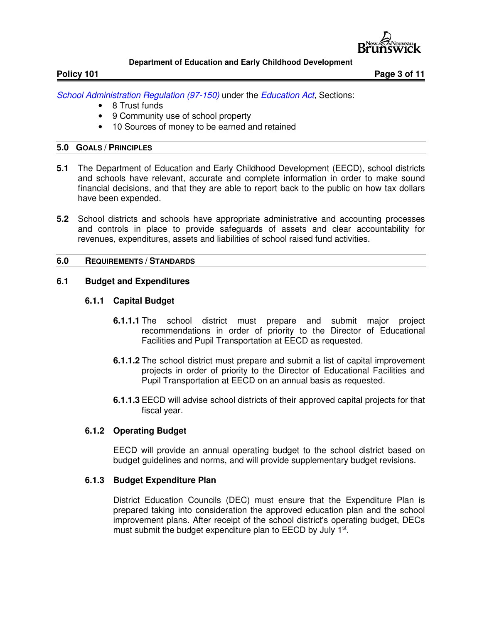

Policy 101 **Policy 101 Page 3 of 11** 

*School Administration Regulation (97-150)* under the *Education Act,* Sections:

- 8 Trust funds
- 9 Community use of school property
- 10 Sources of money to be earned and retained

## **5.0 GOALS / PRINCIPLES**

- **5.1** The Department of Education and Early Childhood Development (EECD), school districts and schools have relevant, accurate and complete information in order to make sound financial decisions, and that they are able to report back to the public on how tax dollars have been expended.
- **5.2** School districts and schools have appropriate administrative and accounting processes and controls in place to provide safeguards of assets and clear accountability for revenues, expenditures, assets and liabilities of school raised fund activities.

## **6.0 REQUIREMENTS / STANDARDS**

## **6.1 Budget and Expenditures**

## **6.1.1 Capital Budget**

- **6.1.1.1** The school district must prepare and submit major project recommendations in order of priority to the Director of Educational Facilities and Pupil Transportation at EECD as requested.
- **6.1.1.2** The school district must prepare and submit a list of capital improvement projects in order of priority to the Director of Educational Facilities and Pupil Transportation at EECD on an annual basis as requested.
- **6.1.1.3** EECD will advise school districts of their approved capital projects for that fiscal year.

## **6.1.2 Operating Budget**

EECD will provide an annual operating budget to the school district based on budget guidelines and norms, and will provide supplementary budget revisions.

## **6.1.3 Budget Expenditure Plan**

District Education Councils (DEC) must ensure that the Expenditure Plan is prepared taking into consideration the approved education plan and the school improvement plans. After receipt of the school district's operating budget, DECs must submit the budget expenditure plan to EECD by July 1<sup>st</sup>.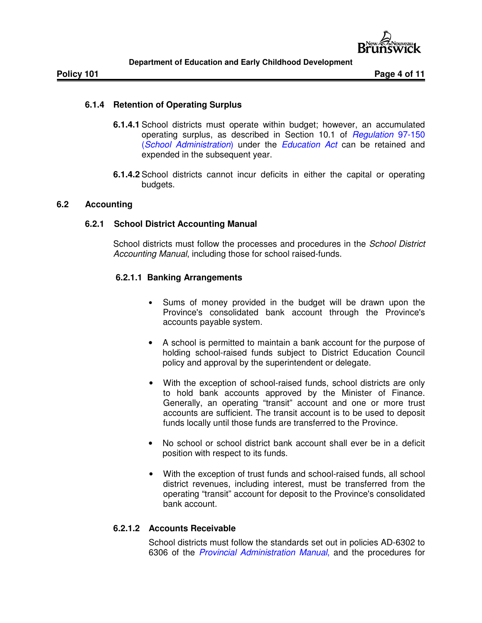

## **6.1.4 Retention of Operating Surplus**

- **6.1.4.1** School districts must operate within budget; however, an accumulated operating surplus, as described in Section 10.1 of *Regulation* 97-150 (*School Administration*) under the *Education Act* can be retained and expended in the subsequent year.
- **6.1.4.2** School districts cannot incur deficits in either the capital or operating budgets.

## **6.2 Accounting**

## **6.2.1 School District Accounting Manual**

School districts must follow the processes and procedures in the *School District Accounting Manual*, including those for school raised-funds.

## **6.2.1.1 Banking Arrangements**

- Sums of money provided in the budget will be drawn upon the Province's consolidated bank account through the Province's accounts payable system.
- A school is permitted to maintain a bank account for the purpose of holding school-raised funds subject to District Education Council policy and approval by the superintendent or delegate.
- With the exception of school-raised funds, school districts are only to hold bank accounts approved by the Minister of Finance. Generally, an operating "transit" account and one or more trust accounts are sufficient. The transit account is to be used to deposit funds locally until those funds are transferred to the Province.
- No school or school district bank account shall ever be in a deficit position with respect to its funds.
- With the exception of trust funds and school-raised funds, all school district revenues, including interest, must be transferred from the operating "transit" account for deposit to the Province's consolidated bank account.

## **6.2.1.2 Accounts Receivable**

School districts must follow the standards set out in policies AD-6302 to 6306 of the *Provincial Administration Manual*, and the procedures for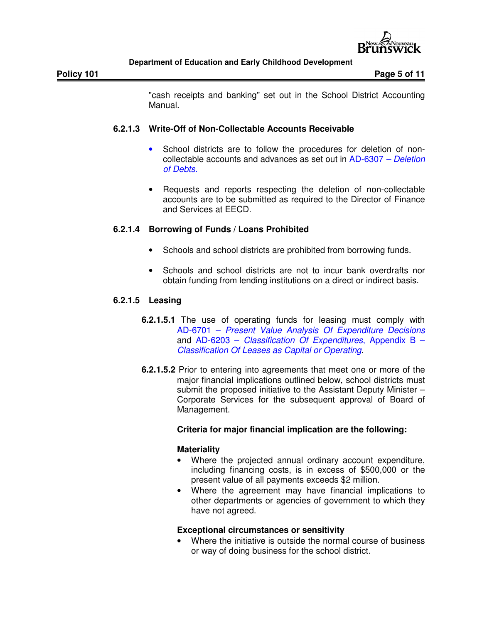

"cash receipts and banking" set out in the School District Accounting Manual.

## **6.2.1.3 Write-Off of Non-Collectable Accounts Receivable**

- School districts are to follow the procedures for deletion of noncollectable accounts and advances as set out in AD-6307 *– Deletion of Debts*.
- Requests and reports respecting the deletion of non-collectable accounts are to be submitted as required to the Director of Finance and Services at EECD.

# **6.2.1.4 Borrowing of Funds / Loans Prohibited**

- Schools and school districts are prohibited from borrowing funds.
- Schools and school districts are not to incur bank overdrafts nor obtain funding from lending institutions on a direct or indirect basis.

## **6.2.1.5 Leasing**

- **6.2.1.5.1** The use of operating funds for leasing must comply with AD-6701 – *Present Value Analysis Of Expenditure Decisions* and AD-6203 – *Classification Of Expenditures*, Appendix B – *Classification Of Leases as Capital or Operating*.
- **6.2.1.5.2** Prior to entering into agreements that meet one or more of the major financial implications outlined below, school districts must submit the proposed initiative to the Assistant Deputy Minister – Corporate Services for the subsequent approval of Board of Management.

## **Criteria for major financial implication are the following:**

## **Materiality**

- Where the projected annual ordinary account expenditure, including financing costs, is in excess of \$500,000 or the present value of all payments exceeds \$2 million.
- Where the agreement may have financial implications to other departments or agencies of government to which they have not agreed.

## **Exceptional circumstances or sensitivity**

Where the initiative is outside the normal course of business or way of doing business for the school district.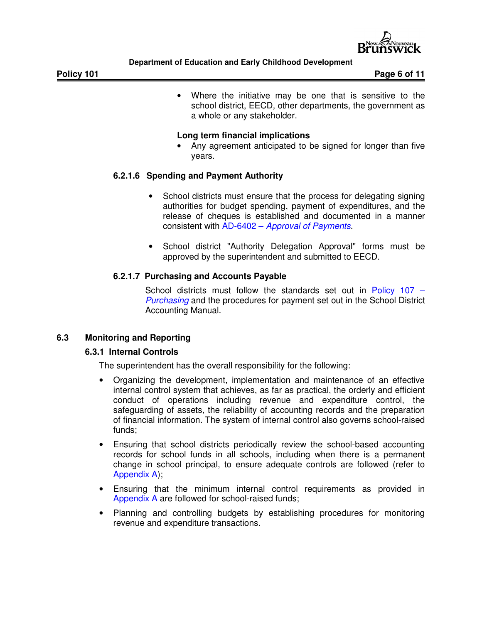

• Where the initiative may be one that is sensitive to the school district, EECD, other departments, the government as a whole or any stakeholder.

## **Long term financial implications**

• Any agreement anticipated to be signed for longer than five years.

# **6.2.1.6 Spending and Payment Authority**

- School districts must ensure that the process for delegating signing authorities for budget spending, payment of expenditures, and the release of cheques is established and documented in a manner consistent with AD-6402 – *Approval of Payments*.
- School district "Authority Delegation Approval" forms must be approved by the superintendent and submitted to EECD.

## **6.2.1.7 Purchasing and Accounts Payable**

School districts must follow the standards set out in Policy 107 – *Purchasing* and the procedures for payment set out in the School District Accounting Manual.

# **6.3 Monitoring and Reporting**

## **6.3.1 Internal Controls**

The superintendent has the overall responsibility for the following:

- Organizing the development, implementation and maintenance of an effective internal control system that achieves, as far as practical, the orderly and efficient conduct of operations including revenue and expenditure control, the safeguarding of assets, the reliability of accounting records and the preparation of financial information. The system of internal control also governs school-raised funds;
- Ensuring that school districts periodically review the school-based accounting records for school funds in all schools, including when there is a permanent change in school principal, to ensure adequate controls are followed (refer to Appendix A);
- Ensuring that the minimum internal control requirements as provided in Appendix A are followed for school-raised funds;
- Planning and controlling budgets by establishing procedures for monitoring revenue and expenditure transactions.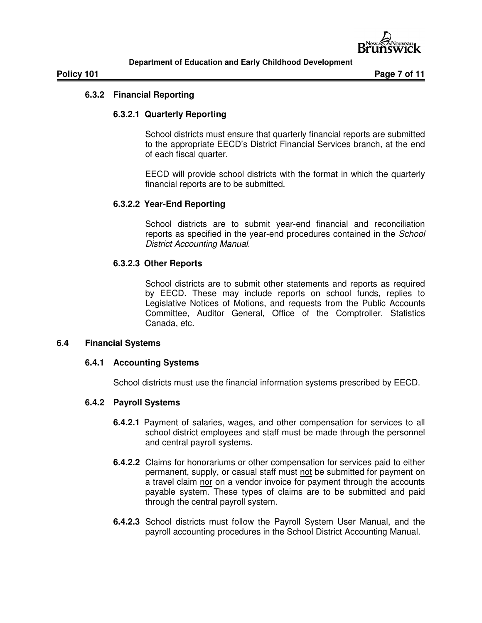

## **6.3.2 Financial Reporting**

## **6.3.2.1 Quarterly Reporting**

School districts must ensure that quarterly financial reports are submitted to the appropriate EECD's District Financial Services branch, at the end of each fiscal quarter.

EECD will provide school districts with the format in which the quarterly financial reports are to be submitted.

## **6.3.2.2 Year-End Reporting**

School districts are to submit year-end financial and reconciliation reports as specified in the year-end procedures contained in the *School District Accounting Manual*.

## **6.3.2.3 Other Reports**

School districts are to submit other statements and reports as required by EECD. These may include reports on school funds, replies to Legislative Notices of Motions, and requests from the Public Accounts Committee, Auditor General, Office of the Comptroller, Statistics Canada, etc.

## **6.4 Financial Systems**

## **6.4.1 Accounting Systems**

School districts must use the financial information systems prescribed by EECD.

## **6.4.2 Payroll Systems**

- **6.4.2.1** Payment of salaries, wages, and other compensation for services to all school district employees and staff must be made through the personnel and central payroll systems.
- **6.4.2.2** Claims for honorariums or other compensation for services paid to either permanent, supply, or casual staff must not be submitted for payment on a travel claim nor on a vendor invoice for payment through the accounts payable system. These types of claims are to be submitted and paid through the central payroll system.
- **6.4.2.3** School districts must follow the Payroll System User Manual, and the payroll accounting procedures in the School District Accounting Manual.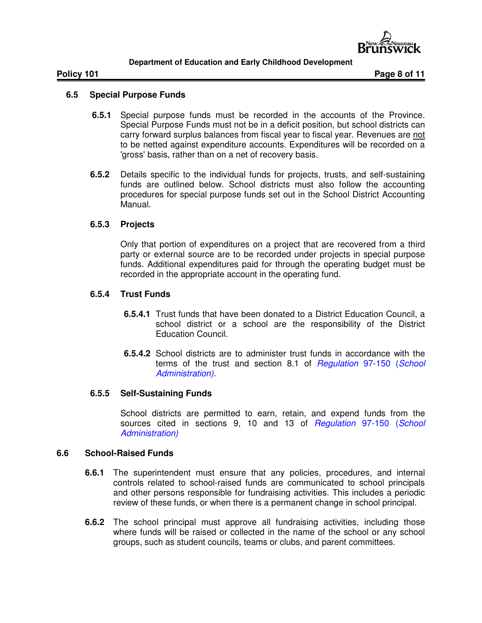

## **6.5 Special Purpose Funds**

- **6.5.1** Special purpose funds must be recorded in the accounts of the Province. Special Purpose Funds must not be in a deficit position, but school districts can carry forward surplus balances from fiscal year to fiscal year. Revenues are not to be netted against expenditure accounts. Expenditures will be recorded on a 'gross' basis, rather than on a net of recovery basis.
- **6.5.2** Details specific to the individual funds for projects, trusts, and self-sustaining funds are outlined below. School districts must also follow the accounting procedures for special purpose funds set out in the School District Accounting Manual.

## **6.5.3 Projects**

Only that portion of expenditures on a project that are recovered from a third party or external source are to be recorded under projects in special purpose funds. Additional expenditures paid for through the operating budget must be recorded in the appropriate account in the operating fund.

## **6.5.4 Trust Funds**

- **6.5.4.1** Trust funds that have been donated to a District Education Council, a school district or a school are the responsibility of the District Education Council.
- **6.5.4.2** School districts are to administer trust funds in accordance with the terms of the trust and section 8.1 of *Regulation* 97-150 (*School Administration).*

## **6.5.5 Self-Sustaining Funds**

School districts are permitted to earn, retain, and expend funds from the sources cited in sections 9, 10 and 13 of *Regulation* 97-150 (*School Administration)*

## **6.6 School-Raised Funds**

- **6.6.1** The superintendent must ensure that any policies, procedures, and internal controls related to school-raised funds are communicated to school principals and other persons responsible for fundraising activities. This includes a periodic review of these funds, or when there is a permanent change in school principal.
- **6.6.2** The school principal must approve all fundraising activities, including those where funds will be raised or collected in the name of the school or any school groups, such as student councils, teams or clubs, and parent committees.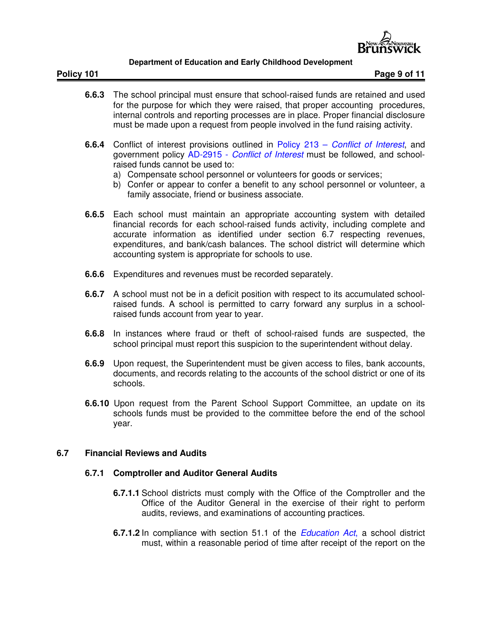

**Policy 101 Page 9 of 11** 

- **6.6.3** The school principal must ensure that school-raised funds are retained and used for the purpose for which they were raised, that proper accounting procedures, internal controls and reporting processes are in place. Proper financial disclosure must be made upon a request from people involved in the fund raising activity.
- **6.6.4** Conflict of interest provisions outlined in Policy 213 *Conflict of Interest*, and government policy AD-2915 - *Conflict of Interest* must be followed, and schoolraised funds cannot be used to:
	- a) Compensate school personnel or volunteers for goods or services;
	- b) Confer or appear to confer a benefit to any school personnel or volunteer, a family associate, friend or business associate.
- **6.6.5** Each school must maintain an appropriate accounting system with detailed financial records for each school-raised funds activity, including complete and accurate information as identified under section 6.7 respecting revenues, expenditures, and bank/cash balances. The school district will determine which accounting system is appropriate for schools to use.
- **6.6.6** Expenditures and revenues must be recorded separately.
- **6.6.7** A school must not be in a deficit position with respect to its accumulated schoolraised funds. A school is permitted to carry forward any surplus in a schoolraised funds account from year to year.
- **6.6.8** In instances where fraud or theft of school-raised funds are suspected, the school principal must report this suspicion to the superintendent without delay.
- **6.6.9** Upon request, the Superintendent must be given access to files, bank accounts, documents, and records relating to the accounts of the school district or one of its schools.
- **6.6.10** Upon request from the Parent School Support Committee, an update on its schools funds must be provided to the committee before the end of the school year.

## **6.7 Financial Reviews and Audits**

## **6.7.1 Comptroller and Auditor General Audits**

- **6.7.1.1** School districts must comply with the Office of the Comptroller and the Office of the Auditor General in the exercise of their right to perform audits, reviews, and examinations of accounting practices.
- **6.7.1.2** In compliance with section 51.1 of the *Education Act*, a school district must, within a reasonable period of time after receipt of the report on the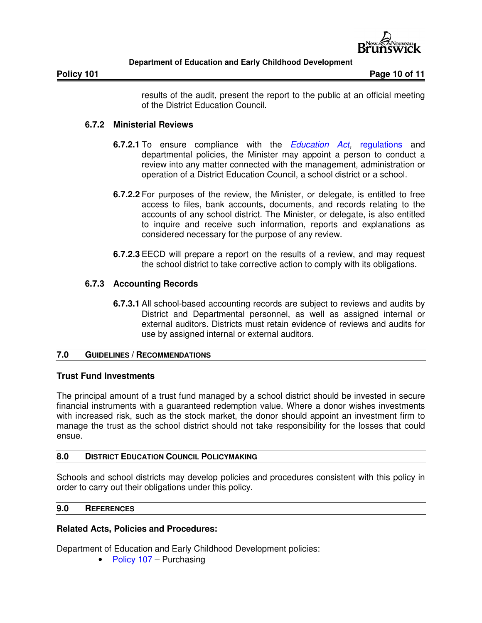

**Policy 101 Page 10 of 11** 

results of the audit, present the report to the public at an official meeting of the District Education Council.

## **6.7.2 Ministerial Reviews**

- **6.7.2.1** To ensure compliance with the *Education Act,* regulations and departmental policies, the Minister may appoint a person to conduct a review into any matter connected with the management, administration or operation of a District Education Council, a school district or a school.
- **6.7.2.2** For purposes of the review, the Minister, or delegate, is entitled to free access to files, bank accounts, documents, and records relating to the accounts of any school district. The Minister, or delegate, is also entitled to inquire and receive such information, reports and explanations as considered necessary for the purpose of any review.
- **6.7.2.3** EECD will prepare a report on the results of a review, and may request the school district to take corrective action to comply with its obligations.

## **6.7.3 Accounting Records**

**6.7.3.1** All school-based accounting records are subject to reviews and audits by District and Departmental personnel, as well as assigned internal or external auditors. Districts must retain evidence of reviews and audits for use by assigned internal or external auditors.

## **7.0 GUIDELINES / RECOMMENDATIONS**

## **Trust Fund Investments**

The principal amount of a trust fund managed by a school district should be invested in secure financial instruments with a guaranteed redemption value. Where a donor wishes investments with increased risk, such as the stock market, the donor should appoint an investment firm to manage the trust as the school district should not take responsibility for the losses that could ensue.

## **8.0 DISTRICT EDUCATION COUNCIL POLICYMAKING**

Schools and school districts may develop policies and procedures consistent with this policy in order to carry out their obligations under this policy.

## **9.0 REFERENCES**

## **Related Acts, Policies and Procedures:**

Department of Education and Early Childhood Development policies:

• Policy 107 – Purchasing